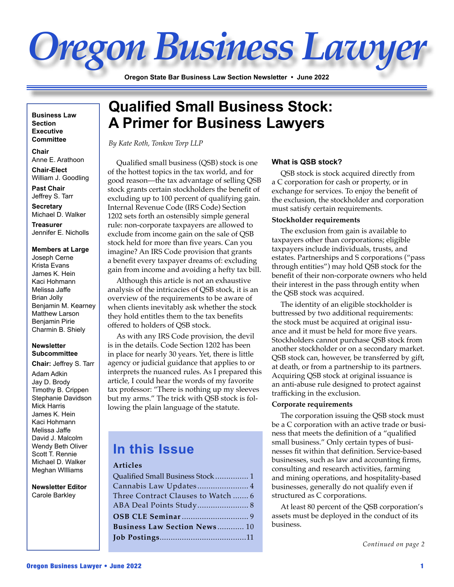# *Oregon Business Lawyer*

**Oregon State Bar Business Law Section Newsletter • June 2022**

**Business Law Section Executive Committee**

**Chair**  Anne E. Arathoon **Chair-Elect** William J. Goodling

**Past Chair** Jeffrey S. Tarr

**Secretary** Michael D. Walker

**Treasurer** Jennifer E. Nicholls

#### **Members at Large**

Joseph Cerne Krista Evans James K. Hein Kaci Hohmann Melissa Jaffe Brian Jolly Benjamin M. Kearney Matthew Larson Benjamin Pirie Charmin B. Shiely

#### **Newsletter Subcommittee**

**Chair:** Jeffrey S. Tarr

Adam Adkin Jay D. Brody Timothy B. Crippen Stephanie Davidson Mick Harris James K. Hein Kaci Hohmann Melissa Jaffe David J. Malcolm Wendy Beth Oliver Scott T. Rennie Michael D. Walker Meghan WIlliams

**Newsletter Editor** Carole Barkley

## **Qualified Small Business Stock: A Primer for Business Lawyers**

*By Kate Roth, Tonkon Torp LLP*

Qualified small business (QSB) stock is one of the hottest topics in the tax world, and for good reason—the tax advantage of selling QSB stock grants certain stockholders the benefit of excluding up to 100 percent of qualifying gain. Internal Revenue Code (IRS Code) Section 1202 sets forth an ostensibly simple general rule: non-corporate taxpayers are allowed to exclude from income gain on the sale of QSB stock held for more than five years. Can you imagine? An IRS Code provision that grants a benefit every taxpayer dreams of: excluding gain from income and avoiding a hefty tax bill.

Although this article is not an exhaustive analysis of the intricacies of QSB stock, it is an overview of the requirements to be aware of when clients inevitably ask whether the stock they hold entitles them to the tax benefits offered to holders of QSB stock.

As with any IRS Code provision, the devil is in the details. Code Section 1202 has been in place for nearly 30 years. Yet, there is little agency or judicial guidance that applies to or interprets the nuanced rules. As I prepared this article, I could hear the words of my favorite tax professor: "There is nothing up my sleeves but my arms." The trick with QSB stock is following the plain language of the statute.

## **In this Issue**

#### **Articles**

| Qualified Small Business Stock  1  |
|------------------------------------|
| Cannabis Law Updates 4             |
| Three Contract Clauses to Watch  6 |
|                                    |
|                                    |
| Business Law Section News 10       |
|                                    |

#### **What is QSB stock?**

QSB stock is stock acquired directly from a C corporation for cash or property, or in exchange for services. To enjoy the benefit of the exclusion, the stockholder and corporation must satisfy certain requirements.

#### **Stockholder requirements**

The exclusion from gain is available to taxpayers other than corporations; eligible taxpayers include individuals, trusts, and estates. Partnerships and S corporations ("pass through entities") may hold QSB stock for the benefit of their non-corporate owners who held their interest in the pass through entity when the QSB stock was acquired.

The identity of an eligible stockholder is buttressed by two additional requirements: the stock must be acquired at original issuance and it must be held for more five years. Stockholders cannot purchase QSB stock from another stockholder or on a secondary market. QSB stock can, however, be transferred by gift, at death, or from a partnership to its partners. Acquiring QSB stock at original issuance is an anti-abuse rule designed to protect against trafficking in the exclusion.

#### **Corporate requirements**

The corporation issuing the QSB stock must be a C corporation with an active trade or business that meets the definition of a "qualified small business." Only certain types of businesses fit within that definition. Service-based businesses, such as law and accounting firms, consulting and research activities, farming and mining operations, and hospitality-based businesses, generally do not qualify even if structured as C corporations.

At least 80 percent of the QSB corporation's assets must be deployed in the conduct of its business.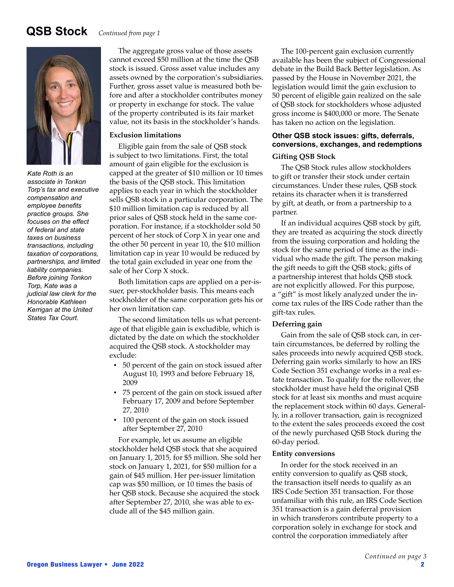## **QSB Stock** *Continued from page 1*



*Kate Roth is an associate in Tonkon Torp's tax and executive compensation and employee benefits practice groups. She focuses on the effect of federal and state taxes on business transactions, including taxation of corporations, partnerships, and limited liability companies. Before joining Tonkon Torp, Kate was a judicial law clerk for the Honorable Kathleen Kerrigan at the United States Tax Court.*

The aggregate gross value of those assets cannot exceed \$50 million at the time the QSB stock is issued. Gross asset value includes any assets owned by the corporation's subsidiaries. Further, gross asset value is measured both before and after a stockholder contributes money or property in exchange for stock. The value of the property contributed is its fair market value, not its basis in the stockholder's hands.

#### **Exclusion limitations**

Eligible gain from the sale of QSB stock is subject to two limitations. First, the total amount of gain eligible for the exclusion is capped at the greater of \$10 million or 10 times the basis of the QSB stock. This limitation applies to each year in which the stockholder sells QSB stock in a particular corporation. The \$10 million limitation cap is reduced by all prior sales of QSB stock held in the same corporation. For instance, if a stockholder sold 50 percent of her stock of Corp X in year one and the other 50 percent in year 10, the \$10 million limitation cap in year 10 would be reduced by the total gain excluded in year one from the sale of her Corp X stock.

Both limitation caps are applied on a per-issuer, per-stockholder basis. This means each stockholder of the same corporation gets his or her own limitation cap.

The second limitation tells us what percentage of that eligible gain is excludible, which is dictated by the date on which the stockholder acquired the QSB stock. A stockholder may exclude:

- 50 percent of the gain on stock issued after August 10, 1993 and before February 18, 2009
- 75 percent of the gain on stock issued after February 17, 2009 and before September 27, 2010
- 100 percent of the gain on stock issued after September 27, 2010

For example, let us assume an eligible stockholder held QSB stock that she acquired on January 1, 2015, for \$5 million. She sold her stock on January 1, 2021, for \$50 million for a gain of \$45 million. Her per-issuer limitation cap was \$50 million, or 10 times the basis of her QSB stock. Because she acquired the stock after September 27, 2010, she was able to exclude all of the \$45 million gain.

The 100-percent gain exclusion currently available has been the subject of Congressional debate in the Build Back Better legislation. As passed by the House in November 2021, the legislation would limit the gain exclusion to 50 percent of eligible gain realized on the sale of QSB stock for stockholders whose adjusted gross income is \$400,000 or more. The Senate has taken no action on the legislation.

#### **Other QSB stock issues: gifts, deferrals, conversions, exchanges, and redemptions Gifting QSB Stock**

The QSB Stock rules allow stockholders to gift or transfer their stock under certain circumstances. Under these rules, QSB stock retains its character when it is transferred by gift, at death, or from a partnership to a partner.

If an individual acquires QSB stock by gift, they are treated as acquiring the stock directly from the issuing corporation and holding the stock for the same period of time as the individual who made the gift. The person making the gift needs to gift the QSB stock; gifts of a partnership interest that holds QSB stock are not explicitly allowed. For this purpose, a "gift" is most likely analyzed under the income tax rules of the IRS Code rather than the gift-tax rules.

#### **Deferring gain**

Gain from the sale of QSB stock can, in certain circumstances, be deferred by rolling the sales proceeds into newly acquired QSB stock. Deferring gain works similarly to how an IRS Code Section 351 exchange works in a real estate transaction. To qualify for the rollover, the stockholder must have held the original QSB stock for at least six months and must acquire the replacement stock within 60 days. Generally, in a rollover transaction, gain is recognized to the extent the sales proceeds exceed the cost of the newly purchased QSB Stock during the 60-day period.

#### **Entity conversions**

In order for the stock received in an entity conversion to qualify as QSB stock, the transaction itself needs to qualify as an IRS Code Section 351 transaction. For those unfamiliar with this rule, an IRS Code Section 351 transaction is a gain deferral provision in which transferors contribute property to a corporation solely in exchange for stock and control the corporation immediately after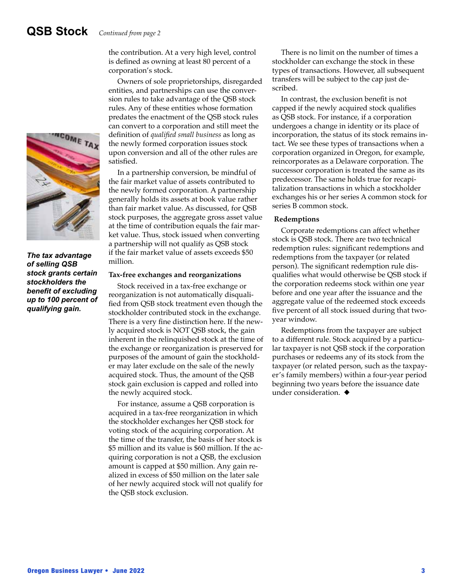**TEOME TA** 

*The tax advantage of selling QSB stock grants certain stockholders the benefit of excluding up to 100 percent of qualifying gain.*

the contribution. At a very high level, control is defined as owning at least 80 percent of a corporation's stock.

Owners of sole proprietorships, disregarded entities, and partnerships can use the conversion rules to take advantage of the QSB stock rules. Any of these entities whose formation predates the enactment of the QSB stock rules can convert to a corporation and still meet the definition of *qualified small business* as long as the newly formed corporation issues stock upon conversion and all of the other rules are satisfied.

In a partnership conversion, be mindful of the fair market value of assets contributed to the newly formed corporation. A partnership generally holds its assets at book value rather than fair market value. As discussed, for QSB stock purposes, the aggregate gross asset value at the time of contribution equals the fair market value. Thus, stock issued when converting a partnership will not qualify as QSB stock if the fair market value of assets exceeds \$50 million.

#### **Tax-free exchanges and reorganizations**

Stock received in a tax-free exchange or reorganization is not automatically disqualified from QSB stock treatment even though the stockholder contributed stock in the exchange. There is a very fine distinction here. If the newly acquired stock is NOT QSB stock, the gain inherent in the relinquished stock at the time of the exchange or reorganization is preserved for purposes of the amount of gain the stockholder may later exclude on the sale of the newly acquired stock. Thus, the amount of the QSB stock gain exclusion is capped and rolled into the newly acquired stock.

For instance, assume a QSB corporation is acquired in a tax-free reorganization in which the stockholder exchanges her QSB stock for voting stock of the acquiring corporation. At the time of the transfer, the basis of her stock is \$5 million and its value is \$60 million. If the acquiring corporation is not a QSB, the exclusion amount is capped at \$50 million. Any gain realized in excess of \$50 million on the later sale of her newly acquired stock will not qualify for the QSB stock exclusion.

There is no limit on the number of times a stockholder can exchange the stock in these types of transactions. However, all subsequent transfers will be subject to the cap just described.

In contrast, the exclusion benefit is not capped if the newly acquired stock qualifies as QSB stock. For instance, if a corporation undergoes a change in identity or its place of incorporation, the status of its stock remains intact. We see these types of transactions when a corporation organized in Oregon, for example, reincorporates as a Delaware corporation. The successor corporation is treated the same as its predecessor. The same holds true for recapitalization transactions in which a stockholder exchanges his or her series A common stock for series B common stock.

#### **Redemptions**

Corporate redemptions can affect whether stock is QSB stock. There are two technical redemption rules: significant redemptions and redemptions from the taxpayer (or related person). The significant redemption rule disqualifies what would otherwise be QSB stock if the corporation redeems stock within one year before and one year after the issuance and the aggregate value of the redeemed stock exceeds five percent of all stock issued during that twoyear window.

Redemptions from the taxpayer are subject to a different rule. Stock acquired by a particular taxpayer is not QSB stock if the corporation purchases or redeems any of its stock from the taxpayer (or related person, such as the taxpayer's family members) within a four-year period beginning two years before the issuance date under consideration.  $\triangleleft$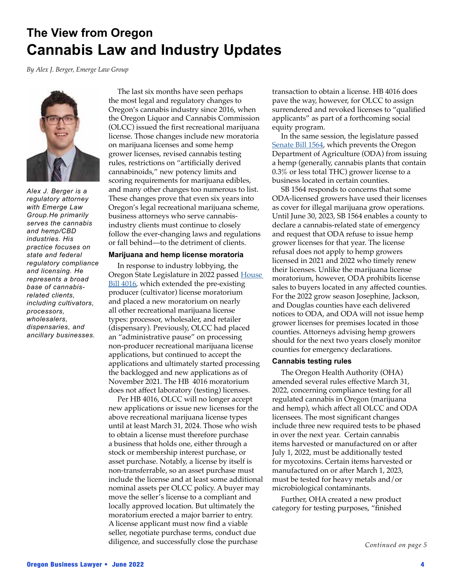## **The View from Oregon Cannabis Law and Industry Updates**

*By Alex J. Berger, Emerge Law Group*



*Alex J. Berger is a regulatory attorney with Emerge Law Group.He primarily serves the cannabis and hemp/CBD industries. His practice focuses on state and federal regulatory compliance and licensing. He represents a broad base of cannabisrelated clients, including cultivators, processors, wholesalers, dispensaries, and ancillary businesses.*

The last six months have seen perhaps the most legal and regulatory changes to Oregon's cannabis industry since 2016, when the Oregon Liquor and Cannabis Commission (OLCC) issued the first recreational marijuana license. Those changes include new moratoria on marijuana licenses and some hemp grower licenses, revised cannabis testing rules, restrictions on "artificially derived cannabinoids," new potency limits and scoring requirements for marijuana edibles, and many other changes too numerous to list. These changes prove that even six years into Oregon's legal recreational marijuana scheme, business attorneys who serve cannabisindustry clients must continue to closely follow the ever-changing laws and regulations or fall behind—to the detriment of clients.

#### **Marijuana and hemp license moratoria**

In response to industry lobbying, the Oregon State Legislature in 2022 passed House **Bill 4016**, which extended the pre-existing producer (cultivator) license moratorium and placed a new moratorium on nearly all other recreational marijuana license types: processor, wholesaler, and retailer (dispensary). Previously, OLCC had placed an "administrative pause" on processing non-producer recreational marijuana license applications, but continued to accept the applications and ultimately started processing the backlogged and new applications as of November 2021. The HB 4016 moratorium does not affect laboratory (testing) licenses.

Per HB 4016, OLCC will no longer accept new applications or issue new licenses for the above recreational marijuana license types until at least March 31, 2024. Those who wish to obtain a license must therefore purchase a business that holds one, either through a stock or membership interest purchase, or asset purchase. Notably, a license by itself is non-transferrable, so an asset purchase must include the license and at least some additional nominal assets per OLCC policy. A buyer may move the seller's license to a compliant and locally approved location. But ultimately the moratorium erected a major barrier to entry. A license applicant must now find a viable seller, negotiate purchase terms, conduct due diligence, and successfully close the purchase

transaction to obtain a license. HB 4016 does pave the way, however, for OLCC to assign surrendered and revoked licenses to "qualified applicants" as part of a forthcoming social equity program.

In the same session, the legislature passed [Senate Bill 1564,](https://olis.oregonlegislature.gov/liz/2022R1/Downloads/MeasureDocument/SB1564) which prevents the Oregon Department of Agriculture (ODA) from issuing a hemp (generally, cannabis plants that contain 0.3% or less total THC) grower license to a business located in certain counties.

SB 1564 responds to concerns that some ODA-licensed growers have used their licenses as cover for illegal marijuana grow operations. Until June 30, 2023, SB 1564 enables a county to declare a cannabis-related state of emergency and request that ODA refuse to issue hemp grower licenses for that year. The license refusal does not apply to hemp growers licensed in 2021 and 2022 who timely renew their licenses. Unlike the marijuana license moratorium, however, ODA prohibits license sales to buyers located in any affected counties. For the 2022 grow season Josephine, Jackson, and Douglas counties have each delivered notices to ODA, and ODA will not issue hemp grower licenses for premises located in those counties. Attorneys advising hemp growers should for the next two years closely monitor counties for emergency declarations.

#### **Cannabis testing rules**

The Oregon Health Authority (OHA) amended several rules effective March 31, 2022, concerning compliance testing for all regulated cannabis in Oregon (marijuana and hemp), which affect all OLCC and ODA licensees. The most significant changes include three new required tests to be phased in over the next year. Certain cannabis items harvested or manufactured on or after July 1, 2022, must be additionally tested for mycotoxins. Certain items harvested or manufactured on or after March 1, 2023, must be tested for heavy metals and/or microbiological contaminants.

Further, OHA created a new product category for testing purposes, "finished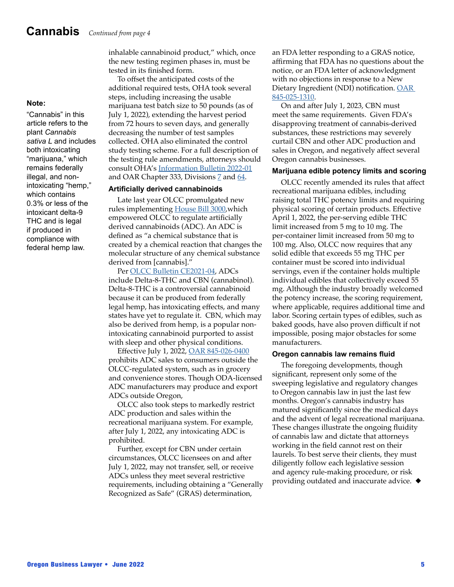inhalable cannabinoid product," which, once the new testing regimen phases in, must be tested in its finished form.

To offset the anticipated costs of the additional required tests, OHA took several steps, including increasing the usable marijuana test batch size to 50 pounds (as of July 1, 2022), extending the harvest period from 72 hours to seven days, and generally decreasing the number of test samples collected. OHA also eliminated the control study testing scheme. For a full description of the testing rule amendments, attorneys should consult OHA's [Information Bulletin 2022-01](https://www.oregon.gov/oha/PH/DISEASESCONDITIONS/CHRONICDISEASE/MEDICALMARIJUANAPROGRAM/Documents/Information_Bulletin_2022-01-Testing_changes_summary_eff_03-21-2022.pdf) and OAR Chapter 333, Divisions  $\overline{Z}$  and  $64$ .

#### **Artificially derived cannabinoids**

Late last year OLCC promulgated new rules implementing [House Bill 3000](https://olis.oregonlegislature.gov/liz/2021R1/Downloads/MeasureDocument/HB3000),which empowered OLCC to regulate artificially derived cannabinoids (ADC). An ADC is defined as "a chemical substance that is created by a chemical reaction that changes the molecular structure of any chemical substance derived from [cannabis]."

Per [OLCC Bulletin CE2021-04](https://www.oregon.gov/olcc/marijuana/Documents/Bulletins/Compliance_2021_04.pdf), ADCs include Delta-8-THC and CBN (cannabinol). Delta-8-THC is a controversial cannabinoid because it can be produced from federally legal hemp, has intoxicating effects, and many states have yet to regulate it. CBN, which may also be derived from hemp, is a popular nonintoxicating cannabinoid purported to assist with sleep and other physical conditions.

Effective July 1, 2022, [OAR 845-026-0400](https://secure.sos.state.or.us/oard/viewSingleRule.action?ruleVrsnRsn=287299) prohibits ADC sales to consumers outside the OLCC-regulated system, such as in grocery and convenience stores. Though ODA-licensed ADC manufacturers may produce and export ADCs outside Oregon,

OLCC also took steps to markedly restrict ADC production and sales within the recreational marijuana system. For example, after July 1, 2022, any intoxicating ADC is prohibited.

Further, except for CBN under certain circumstances, OLCC licensees on and after July 1, 2022, may not transfer, sell, or receive ADCs unless they meet several restrictive requirements, including obtaining a "Generally Recognized as Safe" (GRAS) determination,

an FDA letter responding to a GRAS notice, affirming that FDA has no questions about the notice, or an FDA letter of acknowledgment with no objections in response to a New Dietary Ingredient (NDI) notification. [OAR](https://secure.sos.state.or.us/oard/viewSingleRule.action?ruleVrsnRsn=287736)  [845-025-1310.](https://secure.sos.state.or.us/oard/viewSingleRule.action?ruleVrsnRsn=287736)

On and after July 1, 2023, CBN must meet the same requirements. Given FDA's disapproving treatment of cannabis-derived substances, these restrictions may severely curtail CBN and other ADC production and sales in Oregon, and negatively affect several Oregon cannabis businesses.

#### **Marijuana edible potency limits and scoring**

OLCC recently amended its rules that affect recreational marijuana edibles, including raising total THC potency limits and requiring physical scoring of certain products. Effective April 1, 2022, the per-serving edible THC limit increased from 5 mg to 10 mg. The per-container limit increased from 50 mg to 100 mg. Also, OLCC now requires that any solid edible that exceeds 55 mg THC per container must be scored into individual servings, even if the container holds multiple individual edibles that collectively exceed 55 mg. Although the industry broadly welcomed the potency increase, the scoring requirement, where applicable, requires additional time and labor. Scoring certain types of edibles, such as baked goods, have also proven difficult if not impossible, posing major obstacles for some manufacturers.

#### **Oregon cannabis law remains fluid**

The foregoing developments, though significant, represent only some of the sweeping legislative and regulatory changes to Oregon cannabis law in just the last few months. Oregon's cannabis industry has matured significantly since the medical days and the advent of legal recreational marijuana. These changes illustrate the ongoing fluidity of cannabis law and dictate that attorneys working in the field cannot rest on their laurels. To best serve their clients, they must diligently follow each legislative session and agency rule-making procedure, or risk providing outdated and inaccurate advice.  $\blacklozenge$ 

#### **Note:**

"Cannabis" in this article refers to the plant *Cannabis sativa L* and includes both intoxicating "marijuana," which remains federally illegal, and nonintoxicating "hemp," which contains 0.3% or less of the intoxicant delta-9 THC and is legal if produced in compliance with federal hemp law.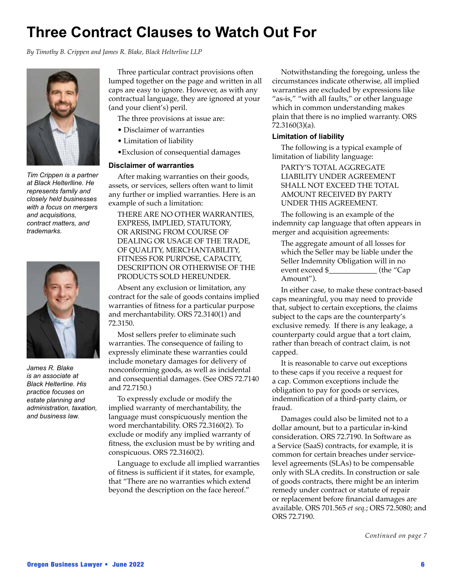## **Three Contract Clauses to Watch Out For**

*By Timothy B. Crippen and James R. Blake, Black Helterline LLP*



*Tim Crippen is a partner at Black Helterlline. He represents family and closely held businesses with a focus on mergers and acquisitions, contract matters, and trademarks.* 



*James R. Blake is an associate at Black Helterline. His practice focuses on estate planning and administration, taxation, and business law.*

Three particular contract provisions often lumped together on the page and written in all caps are easy to ignore. However, as with any contractual language, they are ignored at your (and your client's) peril.

The three provisions at issue are:

- Disclaimer of warranties
- Limitation of liability
- •Exclusion of consequential damages

#### **Disclaimer of warranties**

After making warranties on their goods, assets, or services, sellers often want to limit any further or implied warranties. Here is an example of such a limitation:

THERE ARE NO OTHER WARRANTIES, EXPRESS, IMPLIED, STATUTORY, OR ARISING FROM COURSE OF DEALING OR USAGE OF THE TRADE, OF QUALITY, MERCHANTABILITY, FITNESS FOR PURPOSE, CAPACITY, DESCRIPTION OR OTHERWISE OF THE PRODUCTS SOLD HEREUNDER.

Absent any exclusion or limitation, any contract for the sale of goods contains implied warranties of fitness for a particular purpose and merchantability. ORS 72.3140(1) and 72.3150.

Most sellers prefer to eliminate such warranties. The consequence of failing to expressly eliminate these warranties could include monetary damages for delivery of nonconforming goods, as well as incidental and consequential damages. (See ORS 72.7140 and 72.7150.)

To expressly exclude or modify the implied warranty of merchantability, the language must conspicuously mention the word merchantability. ORS 72.3160(2). To exclude or modify any implied warranty of fitness, the exclusion must be by writing and conspicuous. ORS 72.3160(2).

Language to exclude all implied warranties of fitness is sufficient if it states, for example, that "There are no warranties which extend beyond the description on the face hereof."

Notwithstanding the foregoing, unless the circumstances indicate otherwise, all implied warranties are excluded by expressions like "as-is," "with all faults," or other language which in common understanding makes plain that there is no implied warranty. ORS 72.3160(3)(a).

#### **Limitation of liability**

The following is a typical example of limitation of liability language:

PARTY'S TOTAL AGGREGATE LIABILITY UNDER AGREEMENT SHALL NOT EXCEED THE TOTAL AMOUNT RECEIVED BY PARTY UNDER THIS AGREEMENT.

The following is an example of the indemnity cap language that often appears in merger and acquisition agreements:

The aggregate amount of all losses for which the Seller may be liable under the Seller Indemnity Obligation will in no event exceed \$  $(the "Cap$ Amount").

In either case, to make these contract-based caps meaningful, you may need to provide that, subject to certain exceptions, the claims subject to the caps are the counterparty's exclusive remedy. If there is any leakage, a counterparty could argue that a tort claim, rather than breach of contract claim, is not capped.

It is reasonable to carve out exceptions to these caps if you receive a request for a cap. Common exceptions include the obligation to pay for goods or services, indemnification of a third-party claim, or fraud.

Damages could also be limited not to a dollar amount, but to a particular in-kind consideration. ORS 72.7190. In Software as a Service (SaaS) contracts, for example, it is common for certain breaches under servicelevel agreements (SLAs) to be compensable only with SLA credits. In construction or sale of goods contracts, there might be an interim remedy under contract or statute of repair or replacement before financial damages are available. ORS 701.565 *et seq.*; ORS 72.5080; and ORS 72.7190.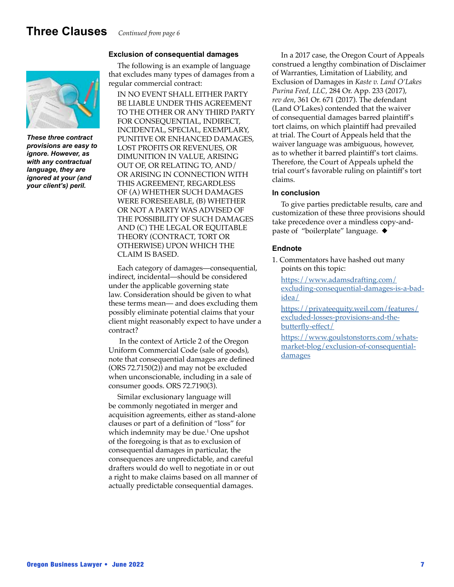## **Three Clauses** *Continued from page 6*

#### **Exclusion of consequential damages**



*These three contract provisions are easy to ignore. However, as with any contractual language, they are ignored at your (and your client's) peril.*

The following is an example of language that excludes many types of damages from a regular commercial contract:

IN NO EVENT SHALL EITHER PARTY BE LIABLE UNDER THIS AGREEMENT TO THE OTHER OR ANY THIRD PARTY FOR CONSEQUENTIAL, INDIRECT, INCIDENTAL, SPECIAL, EXEMPLARY, PUNITIVE OR ENHANCED DAMAGES, LOST PROFITS OR REVENUES, OR DIMUNITION IN VALUE, ARISING OUT OF, OR RELATING TO, AND/ OR ARISING IN CONNECTION WITH THIS AGREEMENT, REGARDLESS OF (A) WHETHER SUCH DAMAGES WERE FORESEEABLE, (B) WHETHER OR NOT A PARTY WAS ADVISED OF THE POSSIBILITY OF SUCH DAMAGES AND (C) THE LEGAL OR EQUITABLE THEORY (CONTRACT, TORT OR OTHERWISE) UPON WHICH THE CLAIM IS BASED.

Each category of damages—consequential, indirect, incidental—should be considered under the applicable governing state law. Consideration should be given to what these terms mean— and does excluding them possibly eliminate potential claims that your client might reasonably expect to have under a contract?

 In the context of Article 2 of the Oregon Uniform Commercial Code (sale of goods), note that consequential damages are defined (ORS 72.7150(2)) and may not be excluded when unconscionable, including in a sale of consumer goods. ORS 72.7190(3).

Similar exclusionary language will be commonly negotiated in merger and acquisition agreements, either as stand-alone clauses or part of a definition of "loss" for which indemnity may be due.1 One upshot of the foregoing is that as to exclusion of consequential damages in particular, the consequences are unpredictable, and careful drafters would do well to negotiate in or out a right to make claims based on all manner of actually predictable consequential damages.

In a 2017 case, the Oregon Court of Appeals construed a lengthy combination of Disclaimer of Warranties, Limitation of Liability, and Exclusion of Damages in *Kaste v. Land O'Lakes Purina Feed, LLC,* 284 Or. App. 233 (2017), *rev den*, 361 Or. 671 (2017). The defendant (Land O'Lakes) contended that the waiver of consequential damages barred plaintiff's tort claims, on which plaintiff had prevailed at trial. The Court of Appeals held that the waiver language was ambiguous, however, as to whether it barred plaintiff's tort claims. Therefore, the Court of Appeals upheld the trial court's favorable ruling on plaintiff's tort claims.

#### **In conclusion**

To give parties predictable results, care and customization of these three provisions should take precedence over a mindless copy-andpaste of "boilerplate" language.  $\blacklozenge$ 

#### **Endnote**

1. Commentators have hashed out many points on this topic:

[https://www.adamsdrafting.com/](https://www.adamsdrafting.com/excluding-consequential-damages-is-a-bad-idea/) [excluding-consequential-damages-is-a-bad](https://www.adamsdrafting.com/excluding-consequential-damages-is-a-bad-idea/)[idea/](https://www.adamsdrafting.com/excluding-consequential-damages-is-a-bad-idea/)

[https://privateequity.weil.com/features/](https://privateequity.weil.com/features/excluded-losses-provisions-and-the-butterfly-effect/) [excluded-losses-provisions-and-the](https://privateequity.weil.com/features/excluded-losses-provisions-and-the-butterfly-effect/)[butterfly-effect/](https://privateequity.weil.com/features/excluded-losses-provisions-and-the-butterfly-effect/)

[https://www.goulstonstorrs.com/whats](https://www.goulstonstorrs.com/whats-market-blog/exclusion-of-consequential-damages)[market-blog/exclusion-of-consequential](https://www.goulstonstorrs.com/whats-market-blog/exclusion-of-consequential-damages)[damages](https://www.goulstonstorrs.com/whats-market-blog/exclusion-of-consequential-damages)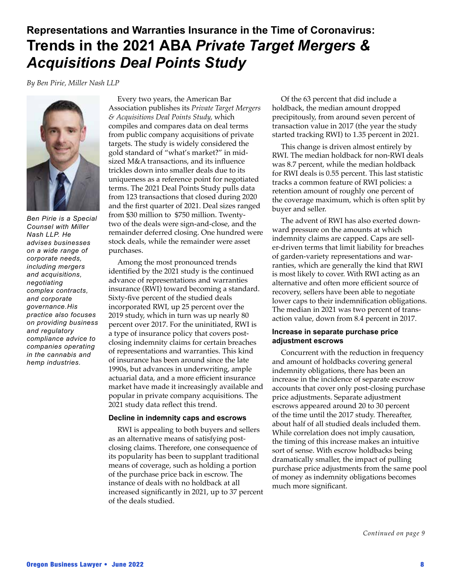## **Representations and Warranties Insurance in the Time of Coronavirus: Trends in the 2021 ABA** *Private Target Mergers & Acquisitions Deal Points Study*

*By Ben Pirie, Miller Nash LLP*



*Ben Pirie is a Special Counsel with Miller Nash LLP. He advises businesses on a wide range of corporate needs, including mergers and acquisitions, negotiating complex contracts, and corporate governance.His practice also focuses on providing business and regulatory compliance advice to companies operating in the cannabis and hemp industries.*

Every two years, the American Bar Association publishes its *Private Target Mergers & Acquisitions Deal Points Study,* which compiles and compares data on deal terms from public company acquisitions of private targets. The study is widely considered the gold standard of "what's market?" in midsized M&A transactions, and its influence trickles down into smaller deals due to its uniqueness as a reference point for negotiated terms. The 2021 Deal Points Study pulls data from 123 transactions that closed during 2020 and the first quarter of 2021. Deal sizes ranged from \$30 million to \$750 million. Twentytwo of the deals were sign-and-close, and the remainder deferred closing. One hundred were stock deals, while the remainder were asset purchases.

Among the most pronounced trends identified by the 2021 study is the continued advance of representations and warranties insurance (RWI) toward becoming a standard. Sixty-five percent of the studied deals incorporated RWI, up 25 percent over the 2019 study, which in turn was up nearly 80 percent over 2017. For the uninitiated, RWI is a type of insurance policy that covers postclosing indemnity claims for certain breaches of representations and warranties. This kind of insurance has been around since the late 1990s, but advances in underwriting, ample actuarial data, and a more efficient insurance market have made it increasingly available and popular in private company acquisitions. The 2021 study data reflect this trend.

#### **Decline in indemnity caps and escrows**

RWI is appealing to both buyers and sellers as an alternative means of satisfying postclosing claims. Therefore, one consequence of its popularity has been to supplant traditional means of coverage, such as holding a portion of the purchase price back in escrow. The instance of deals with no holdback at all increased significantly in 2021, up to 37 percent of the deals studied.

Of the 63 percent that did include a holdback, the median amount dropped precipitously, from around seven percent of transaction value in 2017 (the year the study started tracking RWI) to 1.35 percent in 2021.

This change is driven almost entirely by RWI. The median holdback for non-RWI deals was 8.7 percent, while the median holdback for RWI deals is 0.55 percent. This last statistic tracks a common feature of RWI policies: a retention amount of roughly one percent of the coverage maximum, which is often split by buyer and seller.

The advent of RWI has also exerted downward pressure on the amounts at which indemnity claims are capped. Caps are seller-driven terms that limit liability for breaches of garden-variety representations and warranties, which are generally the kind that RWI is most likely to cover. With RWI acting as an alternative and often more efficient source of recovery, sellers have been able to negotiate lower caps to their indemnification obligations. The median in 2021 was two percent of transaction value, down from 8.4 percent in 2017.

#### **Increase in separate purchase price adjustment escrows**

Concurrent with the reduction in frequency and amount of holdbacks covering general indemnity obligations, there has been an increase in the incidence of separate escrow accounts that cover only post-closing purchase price adjustments. Separate adjustment escrows appeared around 20 to 30 percent of the time until the 2017 study. Thereafter, about half of all studied deals included them. While correlation does not imply causation, the timing of this increase makes an intuitive sort of sense. With escrow holdbacks being dramatically smaller, the impact of pulling purchase price adjustments from the same pool of money as indemnity obligations becomes much more significant.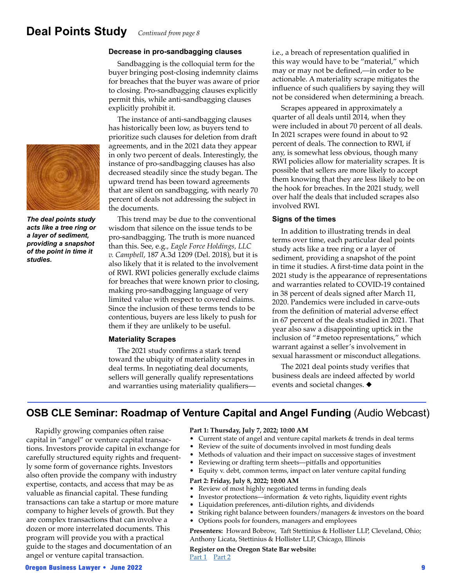## **Deal Points Study** *Continued from page 8*



*The deal points study acts like a tree ring or a layer of sediment, providing a snapshot of the point in time it studies.*

#### **Decrease in pro-sandbagging clauses**

Sandbagging is the colloquial term for the buyer bringing post-closing indemnity claims for breaches that the buyer was aware of prior to closing. Pro-sandbagging clauses explicitly permit this, while anti-sandbagging clauses explicitly prohibit it.

The instance of anti-sandbagging clauses has historically been low, as buyers tend to prioritize such clauses for deletion from draft agreements, and in the 2021 data they appear in only two percent of deals. Interestingly, the instance of pro-sandbagging clauses has also decreased steadily since the study began. The upward trend has been toward agreements that are silent on sandbagging, with nearly 70 percent of deals not addressing the subject in the documents.

This trend may be due to the conventional wisdom that silence on the issue tends to be pro-sandbagging. The truth is more nuanced than this. See, e.g., *Eagle Force Holdings, LLC v. Campbell*, 187 A.3d 1209 (Del. 2018), but it is also likely that it is related to the involvement of RWI. RWI policies generally exclude claims for breaches that were known prior to closing, making pro-sandbagging language of very limited value with respect to covered claims. Since the inclusion of these terms tends to be contentious, buyers are less likely to push for them if they are unlikely to be useful.

#### **Materiality Scrapes**

The 2021 study confirms a stark trend toward the ubiquity of materiality scrapes in deal terms. In negotiating deal documents, sellers will generally qualify representations and warranties using materiality qualifiersi.e., a breach of representation qualified in this way would have to be "material," which may or may not be defined,—in order to be actionable. A materiality scrape mitigates the influence of such qualifiers by saying they will not be considered when determining a breach.

Scrapes appeared in approximately a quarter of all deals until 2014, when they were included in about 70 percent of all deals. In 2021 scrapes were found in about to 92 percent of deals. The connection to RWI, if any, is somewhat less obvious, though many RWI policies allow for materiality scrapes. It is possible that sellers are more likely to accept them knowing that they are less likely to be on the hook for breaches. In the 2021 study, well over half the deals that included scrapes also involved RWI.

#### **Signs of the times**

In addition to illustrating trends in deal terms over time, each particular deal points study acts like a tree ring or a layer of sediment, providing a snapshot of the point in time it studies. A first-time data point in the 2021 study is the appearance of representations and warranties related to COVID-19 contained in 38 percent of deals signed after March 11, 2020. Pandemics were included in carve-outs from the definition of material adverse effect in 67 percent of the deals studied in 2021. That year also saw a disappointing uptick in the inclusion of "#metoo representations," which warrant against a seller's involvement in sexual harassment or misconduct allegations.

The 2021 deal points study verifies that business deals are indeed affected by world events and societal changes.  $\blacklozenge$ 

### **OSB CLE Seminar: Roadmap of Venture Capital and Angel Funding (Audio Webcast)**

Rapidly growing companies often raise capital in "angel" or venture capital transactions. Investors provide capital in exchange for carefully structured equity rights and frequently some form of governance rights. Investors also often provide the company with industry expertise, contacts, and access that may be as valuable as financial capital. These funding transactions can take a startup or more mature company to higher levels of growth. But they are complex transactions that can involve a dozen or more interrelated documents. This program will provide you with a practical guide to the stages and documentation of an angel or venture capital transaction.

#### **Part 1: Thursday, July 7, 2022; 10:00 AM**

- Current state of angel and venture capital markets & trends in deal terms
- Review of the suite of documents involved in most funding deals
- Methods of valuation and their impact on successive stages of investment
- Reviewing or drafting term sheets—pitfalls and opportunities
- Equity v. debt, common terms, impact on later venture capital funding

#### **Part 2: Friday, July 8, 2022; 10:00 AM**

- Review of most highly negotiated terms in funding deals
- Investor protections—information & veto rights, liquidity event rights
- Liquidation preferences, anti-dilution rights, and dividends
- Striking right balance between founders/managers & investors on the board
- Options pools for founders, managers and employees

**Presenters:** Howard Bobrow, Taft Stettinius & Hollister LLP, Cleveland, Ohio; Anthony Licata, Stettinius & Hollister LLP, Chicago, Illinois

**Register on the Oregon State Bar website:** [Part 1](https://or.webcredenza.com/program?id=171082
) [Part 2](https://or.webcredenza.com/program?id=176290)

#### Oregon Business Lawyer • June 2022 9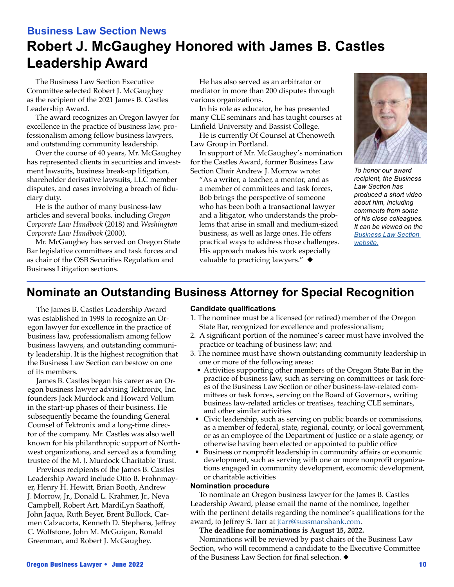## **Business Law Section News Robert J. McGaughey Honored with James B. Castles Leadership Award**

The Business Law Section Executive Committee selected Robert J. McGaughey as the recipient of the 2021 James B. Castles Leadership Award.

The award recognizes an Oregon lawyer for excellence in the practice of business law, professionalism among fellow business lawyers, and outstanding community leadership.

Over the course of 40 years, Mr. McGaughey has represented clients in securities and investment lawsuits, business break-up litigation, shareholder derivative lawsuits, LLC member disputes, and cases involving a breach of fiduciary duty.

He is the author of many business-law articles and several books, including *Oregon Corporate Law Handbook* (2018) and *Washington Corporate Law Handbook* (2000).

Mr. McGaughey has served on Oregon State Bar legislative committees and task forces and as chair of the OSB Securities Regulation and Business Litigation sections.

He has also served as an arbitrator or mediator in more than 200 disputes through various organizations.

In his role as educator, he has presented many CLE seminars and has taught courses at Linfield University and Bassist College.

He is currently Of Counsel at Chenoweth Law Group in Portland.

In support of Mr. McGaughey's nomination for the Castles Award, former Business Law Section Chair Andrew J. Morrow wrote:

"As a writer, a teacher, a mentor, and as a member of committees and task forces, Bob brings the perspective of someone who has been both a transactional lawyer and a litigator, who understands the problems that arise in small and medium-sized business, as well as large ones. He offers practical ways to address those challenges. His approach makes his work especially valuable to practicing lawyers."  $\blacklozenge$ 



*To honor our award recipient, the Business Law Section has produced a short video about him, including comments from some of his close colleagues. It can be viewed on the [Business Law Section](https://businesslaw.osbar.org/james-b-castles-leadership-award/)  [website.](https://businesslaw.osbar.org/james-b-castles-leadership-award/)*

## **Nominate an Outstanding Business Attorney for Special Recognition**

The James B. Castles Leadership Award was established in 1998 to recognize an Oregon lawyer for excellence in the practice of business law, professionalism among fellow business lawyers, and outstanding community leadership. It is the highest recognition that the Business Law Section can bestow on one of its members.

James B. Castles began his career as an Oregon business lawyer advising Tektronix, Inc. founders Jack Murdock and Howard Vollum in the start-up phases of their business. He subsequently became the founding General Counsel of Tektronix and a long-time director of the company. Mr. Castles was also well known for his philanthropic support of Northwest organizations, and served as a founding trustee of the M. J. Murdock Charitable Trust.

Previous recipients of the James B. Castles Leadership Award include Otto B. Frohnmayer, Henry H. Hewitt, Brian Booth, Andrew J. Morrow, Jr., Donald L. Krahmer, Jr., Neva Campbell, Robert Art, MardiLyn Saathoff, John Jaqua, Ruth Beyer, Brent Bullock, Carmen Calzacorta, Kenneth D. Stephens, Jeffrey C. Wolfstone, John M. McGuigan, Ronald Greenman, and Robert J. McGaughey.

#### **Candidate qualifications**

- 1. The nominee must be a licensed (or retired) member of the Oregon State Bar, recognized for excellence and professionalism;
- 2. A significant portion of the nominee's career must have involved the practice or teaching of business law; and
- 3. The nominee must have shown outstanding community leadership in one or more of the following areas:
	- Activities supporting other members of the Oregon State Bar in the practice of business law, such as serving on committees or task forces of the Business Law Section or other business-law-related committees or task forces, serving on the Board of Governors, writing business law-related articles or treatises, teaching CLE seminars, and other similar activities
	- Civic leadership, such as serving on public boards or commissions, as a member of federal, state, regional, county, or local government, or as an employee of the Department of Justice or a state agency, or otherwise having been elected or appointed to public office
	- Business or nonprofit leadership in community affairs or economic development, such as serving with one or more nonprofit organizations engaged in community development, economic development, or charitable activities

#### **Nomination procedure**

To nominate an Oregon business lawyer for the James B. Castles Leadership Award, please email the name of the nominee, together with the pertinent details regarding the nominee's qualifications for the award, to Jeffrey S. Tarr at *jtarr@sussmanshank.com*.

#### **The deadline for nominations is August 15, 2022.**

Nominations will be reviewed by past chairs of the Business Law Section, who will recommend a candidate to the Executive Committee of the Business Law Section for final selection.  $\blacklozenge$